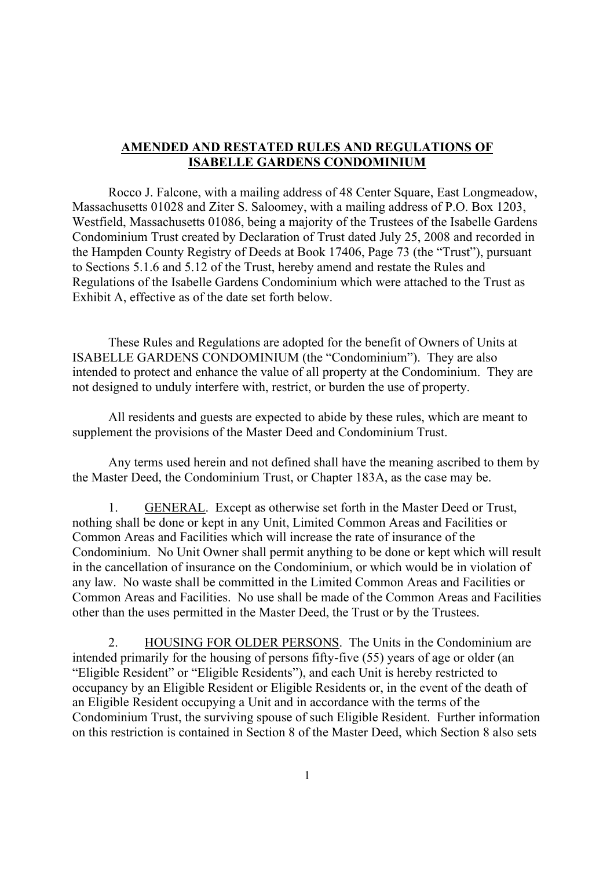### **AMENDED AND RESTATED RULES AND REGULATIONS OF ISABELLE GARDENS CONDOMINIUM**

Rocco J. Falcone, with a mailing address of 48 Center Square, East Longmeadow, Massachusetts 01028 and Ziter S. Saloomey, with a mailing address of P.O. Box 1203, Westfield, Massachusetts 01086, being a majority of the Trustees of the Isabelle Gardens Condominium Trust created by Declaration of Trust dated July 25, 2008 and recorded in the Hampden County Registry of Deeds at Book 17406, Page 73 (the "Trust"), pursuant to Sections 5.1.6 and 5.12 of the Trust, hereby amend and restate the Rules and Regulations of the Isabelle Gardens Condominium which were attached to the Trust as Exhibit A, effective as of the date set forth below.

These Rules and Regulations are adopted for the benefit of Owners of Units at ISABELLE GARDENS CONDOMINIUM (the "Condominium"). They are also intended to protect and enhance the value of all property at the Condominium. They are not designed to unduly interfere with, restrict, or burden the use of property.

All residents and guests are expected to abide by these rules, which are meant to supplement the provisions of the Master Deed and Condominium Trust.

Any terms used herein and not defined shall have the meaning ascribed to them by the Master Deed, the Condominium Trust, or Chapter 183A, as the case may be.

1. GENERAL. Except as otherwise set forth in the Master Deed or Trust, nothing shall be done or kept in any Unit, Limited Common Areas and Facilities or Common Areas and Facilities which will increase the rate of insurance of the Condominium. No Unit Owner shall permit anything to be done or kept which will result in the cancellation of insurance on the Condominium, or which would be in violation of any law. No waste shall be committed in the Limited Common Areas and Facilities or Common Areas and Facilities. No use shall be made of the Common Areas and Facilities other than the uses permitted in the Master Deed, the Trust or by the Trustees.

2. HOUSING FOR OLDER PERSONS. The Units in the Condominium are intended primarily for the housing of persons fifty-five (55) years of age or older (an "Eligible Resident" or "Eligible Residents"), and each Unit is hereby restricted to occupancy by an Eligible Resident or Eligible Residents or, in the event of the death of an Eligible Resident occupying a Unit and in accordance with the terms of the Condominium Trust, the surviving spouse of such Eligible Resident. Further information on this restriction is contained in Section 8 of the Master Deed, which Section 8 also sets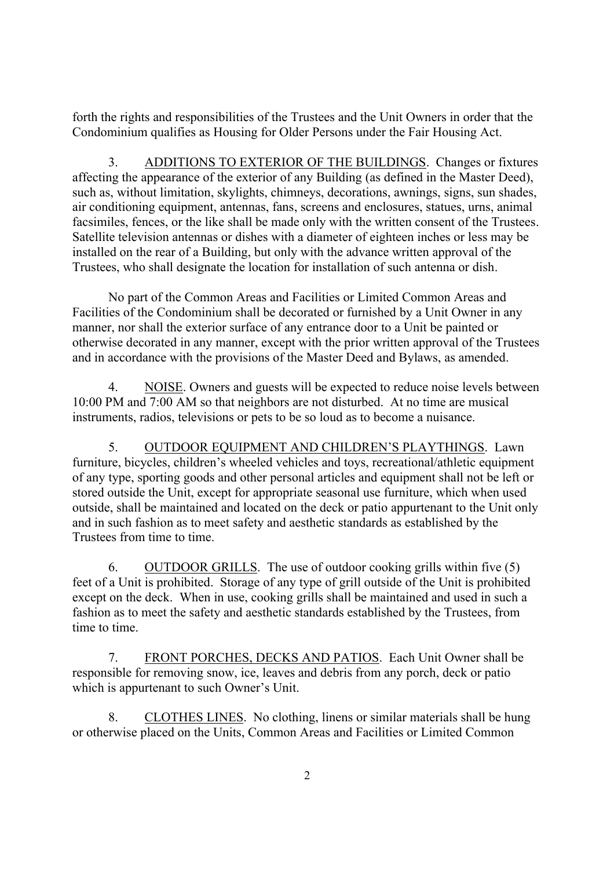forth the rights and responsibilities of the Trustees and the Unit Owners in order that the Condominium qualifies as Housing for Older Persons under the Fair Housing Act.

3. ADDITIONS TO EXTERIOR OF THE BUILDINGS. Changes or fixtures affecting the appearance of the exterior of any Building (as defined in the Master Deed), such as, without limitation, skylights, chimneys, decorations, awnings, signs, sun shades, air conditioning equipment, antennas, fans, screens and enclosures, statues, urns, animal facsimiles, fences, or the like shall be made only with the written consent of the Trustees. Satellite television antennas or dishes with a diameter of eighteen inches or less may be installed on the rear of a Building, but only with the advance written approval of the Trustees, who shall designate the location for installation of such antenna or dish.

No part of the Common Areas and Facilities or Limited Common Areas and Facilities of the Condominium shall be decorated or furnished by a Unit Owner in any manner, nor shall the exterior surface of any entrance door to a Unit be painted or otherwise decorated in any manner, except with the prior written approval of the Trustees and in accordance with the provisions of the Master Deed and Bylaws, as amended.

4. NOISE. Owners and guests will be expected to reduce noise levels between 10:00 PM and 7:00 AM so that neighbors are not disturbed. At no time are musical instruments, radios, televisions or pets to be so loud as to become a nuisance.

5. OUTDOOR EQUIPMENT AND CHILDREN'S PLAYTHINGS. Lawn furniture, bicycles, children's wheeled vehicles and toys, recreational/athletic equipment of any type, sporting goods and other personal articles and equipment shall not be left or stored outside the Unit, except for appropriate seasonal use furniture, which when used outside, shall be maintained and located on the deck or patio appurtenant to the Unit only and in such fashion as to meet safety and aesthetic standards as established by the Trustees from time to time.

6. OUTDOOR GRILLS. The use of outdoor cooking grills within five (5) feet of a Unit is prohibited. Storage of any type of grill outside of the Unit is prohibited except on the deck. When in use, cooking grills shall be maintained and used in such a fashion as to meet the safety and aesthetic standards established by the Trustees, from time to time.

7. FRONT PORCHES, DECKS AND PATIOS. Each Unit Owner shall be responsible for removing snow, ice, leaves and debris from any porch, deck or patio which is appurtenant to such Owner's Unit.

8. CLOTHES LINES. No clothing, linens or similar materials shall be hung or otherwise placed on the Units, Common Areas and Facilities or Limited Common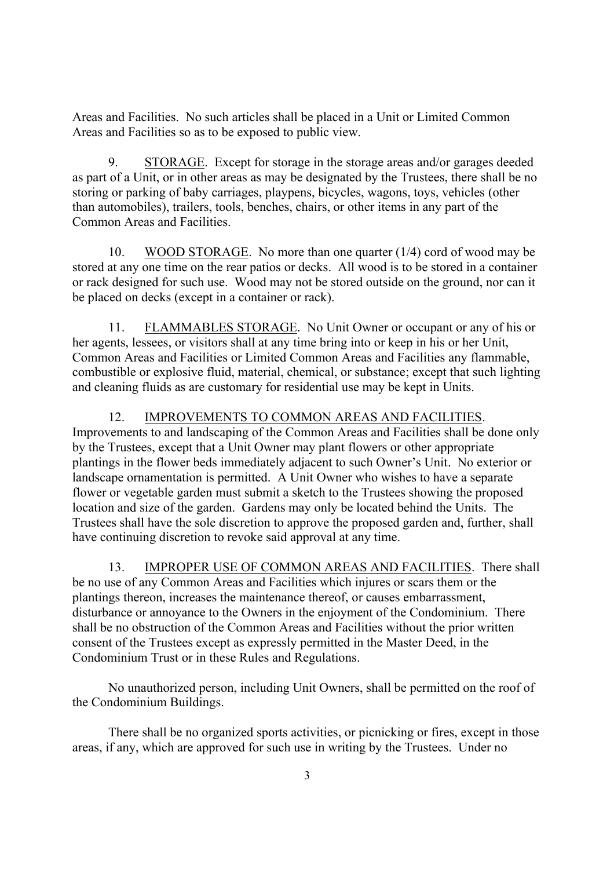Areas and Facilities. No such articles shall be placed in a Unit or Limited Common Areas and Facilities so as to be exposed to public view.

9. STORAGE. Except for storage in the storage areas and/or garages deeded as part of a Unit, or in other areas as may be designated by the Trustees, there shall be no storing or parking of baby carriages, playpens, bicycles, wagons, toys, vehicles (other than automobiles), trailers, tools, benches, chairs, or other items in any part of the Common Areas and Facilities.

10. WOOD STORAGE. No more than one quarter (1/4) cord of wood may be stored at any one time on the rear patios or decks. All wood is to be stored in a container or rack designed for such use. Wood may not be stored outside on the ground, nor can it be placed on decks (except in a container or rack).

11. FLAMMABLES STORAGE. No Unit Owner or occupant or any of his or her agents, lessees, or visitors shall at any time bring into or keep in his or her Unit, Common Areas and Facilities or Limited Common Areas and Facilities any flammable, combustible or explosive fluid, material, chemical, or substance; except that such lighting and cleaning fluids as are customary for residential use may be kept in Units.

12. IMPROVEMENTS TO COMMON AREAS AND FACILITIES. Improvements to and landscaping of the Common Areas and Facilities shall be done only by the Trustees, except that a Unit Owner may plant flowers or other appropriate plantings in the flower beds immediately adjacent to such Owner's Unit. No exterior or landscape ornamentation is permitted. A Unit Owner who wishes to have a separate flower or vegetable garden must submit a sketch to the Trustees showing the proposed location and size of the garden. Gardens may only be located behind the Units. The Trustees shall have the sole discretion to approve the proposed garden and, further, shall have continuing discretion to revoke said approval at any time.

13. IMPROPER USE OF COMMON AREAS AND FACILITIES. There shall be no use of any Common Areas and Facilities which injures or scars them or the plantings thereon, increases the maintenance thereof, or causes embarrassment, disturbance or annoyance to the Owners in the enjoyment of the Condominium. There shall be no obstruction of the Common Areas and Facilities without the prior written consent of the Trustees except as expressly permitted in the Master Deed, in the Condominium Trust or in these Rules and Regulations.

No unauthorized person, including Unit Owners, shall be permitted on the roof of the Condominium Buildings.

There shall be no organized sports activities, or picnicking or fires, except in those areas, if any, which are approved for such use in writing by the Trustees. Under no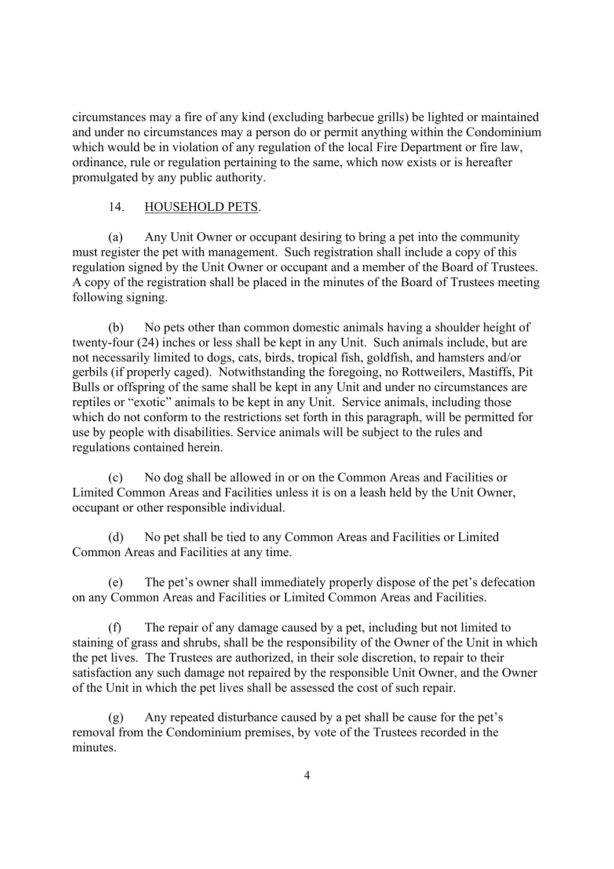circumstances may a fire of any kind (excluding barbecue grills) be lighted or maintained and under no circumstances may a person do or permit anything within the Condominium which would be in violation of any regulation of the local Fire Department or fire law, ordinance, rule or regulation pertaining to the same, which now exists or is hereafter promulgated by any public authority.

# 14. HOUSEHOLD PETS.

(a) Any Unit Owner or occupant desiring to bring a pet into the community must register the pet with management. Such registration shall include a copy of this regulation signed by the Unit Owner or occupant and a member of the Board of Trustees. A copy of the registration shall be placed in the minutes of the Board of Trustees meeting following signing.

(b) No pets other than common domestic animals having a shoulder height of twenty-four (24) inches or less shall be kept in any Unit. Such animals include, but are not necessarily limited to dogs, cats, birds, tropical fish, goldfish, and hamsters and/or gerbils (if properly caged). Notwithstanding the foregoing, no Rottweilers, Mastiffs, Pit Bulls or offspring of the same shall be kept in any Unit and under no circumstances are reptiles or "exotic" animals to be kept in any Unit. Service animals, including those which do not conform to the restrictions set forth in this paragraph, will be permitted for use by people with disabilities. Service animals will be subject to the rules and regulations contained herein.

(c) No dog shall be allowed in or on the Common Areas and Facilities or Limited Common Areas and Facilities unless it is on a leash held by the Unit Owner, occupant or other responsible individual.

(d) No pet shall be tied to any Common Areas and Facilities or Limited Common Areas and Facilities at any time.

(e) The pet's owner shall immediately properly dispose of the pet's defecation on any Common Areas and Facilities or Limited Common Areas and Facilities.

(f) The repair of any damage caused by a pet, including but not limited to staining of grass and shrubs, shall be the responsibility of the Owner of the Unit in which the pet lives. The Trustees are authorized, in their sole discretion, to repair to their satisfaction any such damage not repaired by the responsible Unit Owner, and the Owner of the Unit in which the pet lives shall be assessed the cost of such repair.

(g) Any repeated disturbance caused by a pet shall be cause for the pet's removal from the Condominium premises, by vote of the Trustees recorded in the minutes.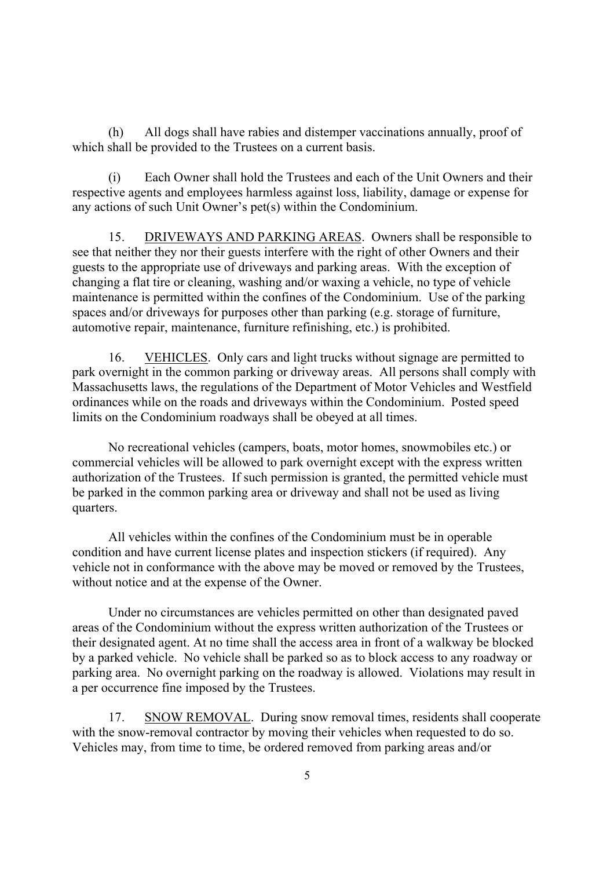(h) All dogs shall have rabies and distemper vaccinations annually, proof of which shall be provided to the Trustees on a current basis.

(i) Each Owner shall hold the Trustees and each of the Unit Owners and their respective agents and employees harmless against loss, liability, damage or expense for any actions of such Unit Owner's pet(s) within the Condominium.

15. DRIVEWAYS AND PARKING AREAS. Owners shall be responsible to see that neither they nor their guests interfere with the right of other Owners and their guests to the appropriate use of driveways and parking areas. With the exception of changing a flat tire or cleaning, washing and/or waxing a vehicle, no type of vehicle maintenance is permitted within the confines of the Condominium. Use of the parking spaces and/or driveways for purposes other than parking (e.g. storage of furniture, automotive repair, maintenance, furniture refinishing, etc.) is prohibited.

16. VEHICLES. Only cars and light trucks without signage are permitted to park overnight in the common parking or driveway areas. All persons shall comply with Massachusetts laws, the regulations of the Department of Motor Vehicles and Westfield ordinances while on the roads and driveways within the Condominium. Posted speed limits on the Condominium roadways shall be obeyed at all times.

No recreational vehicles (campers, boats, motor homes, snowmobiles etc.) or commercial vehicles will be allowed to park overnight except with the express written authorization of the Trustees. If such permission is granted, the permitted vehicle must be parked in the common parking area or driveway and shall not be used as living quarters.

All vehicles within the confines of the Condominium must be in operable condition and have current license plates and inspection stickers (if required). Any vehicle not in conformance with the above may be moved or removed by the Trustees, without notice and at the expense of the Owner.

Under no circumstances are vehicles permitted on other than designated paved areas of the Condominium without the express written authorization of the Trustees or their designated agent. At no time shall the access area in front of a walkway be blocked by a parked vehicle. No vehicle shall be parked so as to block access to any roadway or parking area. No overnight parking on the roadway is allowed. Violations may result in a per occurrence fine imposed by the Trustees.

17. SNOW REMOVAL. During snow removal times, residents shall cooperate with the snow-removal contractor by moving their vehicles when requested to do so. Vehicles may, from time to time, be ordered removed from parking areas and/or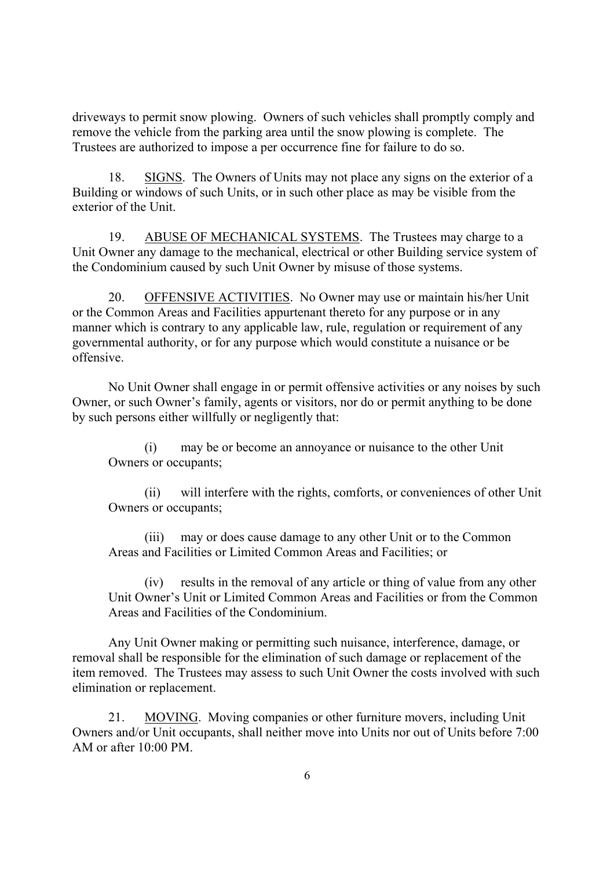driveways to permit snow plowing. Owners of such vehicles shall promptly comply and remove the vehicle from the parking area until the snow plowing is complete. The Trustees are authorized to impose a per occurrence fine for failure to do so.

18. SIGNS. The Owners of Units may not place any signs on the exterior of a Building or windows of such Units, or in such other place as may be visible from the exterior of the Unit.

19. ABUSE OF MECHANICAL SYSTEMS. The Trustees may charge to a Unit Owner any damage to the mechanical, electrical or other Building service system of the Condominium caused by such Unit Owner by misuse of those systems.

20. OFFENSIVE ACTIVITIES. No Owner may use or maintain his/her Unit or the Common Areas and Facilities appurtenant thereto for any purpose or in any manner which is contrary to any applicable law, rule, regulation or requirement of any governmental authority, or for any purpose which would constitute a nuisance or be offensive.

No Unit Owner shall engage in or permit offensive activities or any noises by such Owner, or such Owner's family, agents or visitors, nor do or permit anything to be done by such persons either willfully or negligently that:

(i) may be or become an annoyance or nuisance to the other Unit Owners or occupants;

(ii) will interfere with the rights, comforts, or conveniences of other Unit Owners or occupants;

(iii) may or does cause damage to any other Unit or to the Common Areas and Facilities or Limited Common Areas and Facilities; or

(iv) results in the removal of any article or thing of value from any other Unit Owner's Unit or Limited Common Areas and Facilities or from the Common Areas and Facilities of the Condominium.

Any Unit Owner making or permitting such nuisance, interference, damage, or removal shall be responsible for the elimination of such damage or replacement of the item removed. The Trustees may assess to such Unit Owner the costs involved with such elimination or replacement.

21. MOVING. Moving companies or other furniture movers, including Unit Owners and/or Unit occupants, shall neither move into Units nor out of Units before 7:00 AM or after 10:00 PM.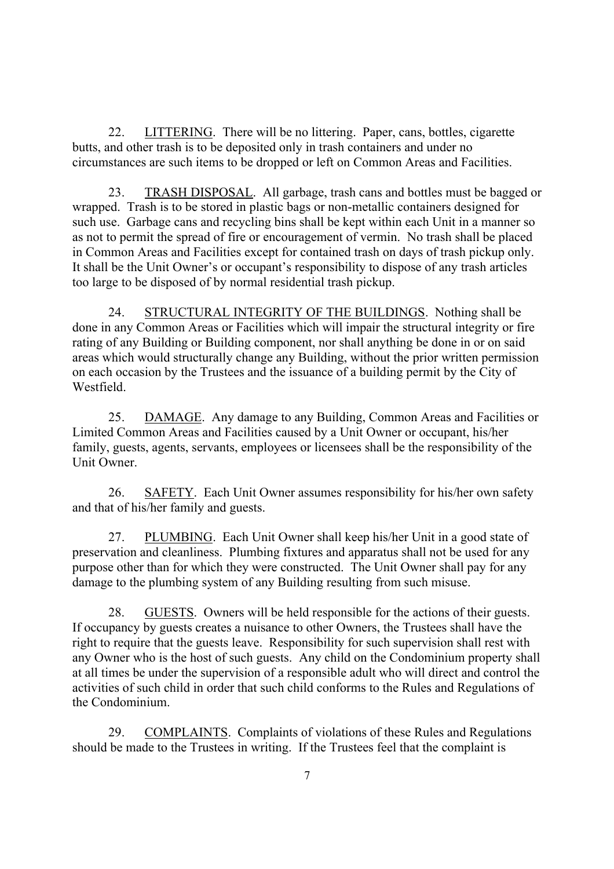22. LITTERING. There will be no littering. Paper, cans. bottles, cigarette butts, and other trash is to be deposited only in trash containers and under no circumstances are such items to be dropped or left on Common Areas and Facilities.

23. TRASH DISPOSAL. All garbage, trash cans and bottles must be bagged or wrapped. Trash is to be stored in plastic bags or non-metallic containers designed for such use. Garbage cans and recycling bins shall be kept within each Unit in a manner so as not to permit the spread of fire or encouragement of vermin. No trash shall be placed in Common Areas and Facilities except for contained trash on days of trash pickup only. It shall be the Unit Owner's or occupant's responsibility to dispose of any trash articles too large to be disposed of by normal residential trash pickup.

24. STRUCTURAL INTEGRITY OF THE BUILDINGS. Nothing shall be done in any Common Areas or Facilities which will impair the structural integrity or fire rating of any Building or Building component, nor shall anything be done in or on said areas which would structurally change any Building, without the prior written permission on each occasion by the Trustees and the issuance of a building permit by the City of Westfield.

25. DAMAGE. Any damage to any Building, Common Areas and Facilities or Limited Common Areas and Facilities caused by a Unit Owner or occupant, his/her family, guests, agents, servants, employees or licensees shall be the responsibility of the Unit Owner.

26. SAFETY. Each Unit Owner assumes responsibility for his/her own safety and that of his/her family and guests.

27. PLUMBING. Each Unit Owner shall keep his/her Unit in a good state of preservation and cleanliness. Plumbing fixtures and apparatus shall not be used for any purpose other than for which they were constructed. The Unit Owner shall pay for any damage to the plumbing system of any Building resulting from such misuse.

28. GUESTS. Owners will be held responsible for the actions of their guests. If occupancy by guests creates a nuisance to other Owners, the Trustees shall have the right to require that the guests leave. Responsibility for such supervision shall rest with any Owner who is the host of such guests. Any child on the Condominium property shall at all times be under the supervision of a responsible adult who will direct and control the activities of such child in order that such child conforms to the Rules and Regulations of the Condominium.

29. COMPLAINTS. Complaints of violations of these Rules and Regulations should be made to the Trustees in writing. If the Trustees feel that the complaint is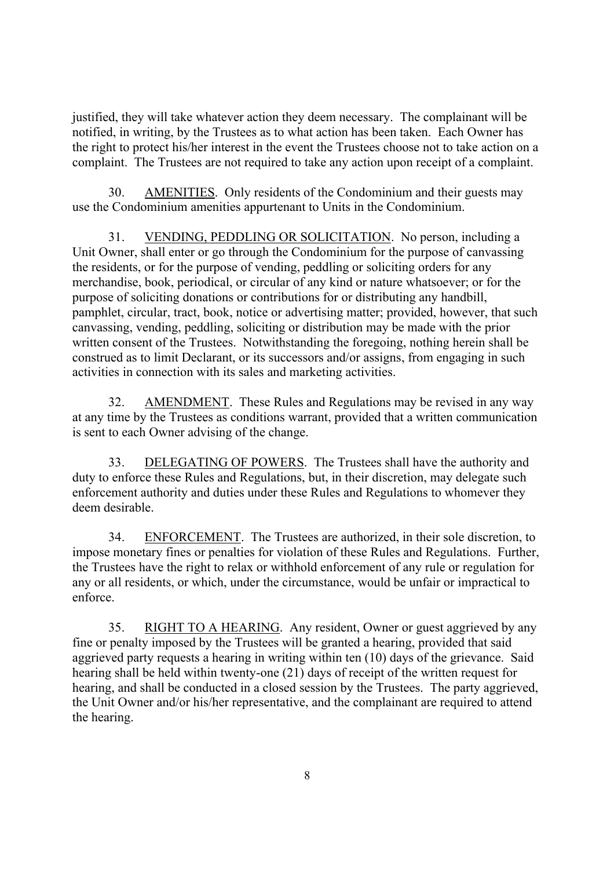justified, they will take whatever action they deem necessary. The complainant will be notified, in writing, by the Trustees as to what action has been taken. Each Owner has the right to protect his/her interest in the event the Trustees choose not to take action on a complaint. The Trustees are not required to take any action upon receipt of a complaint.

30. AMENITIES. Only residents of the Condominium and their guests may use the Condominium amenities appurtenant to Units in the Condominium.

31. VENDING, PEDDLING OR SOLICITATION. No person, including a Unit Owner, shall enter or go through the Condominium for the purpose of canvassing the residents, or for the purpose of vending, peddling or soliciting orders for any merchandise, book, periodical, or circular of any kind or nature whatsoever; or for the purpose of soliciting donations or contributions for or distributing any handbill, pamphlet, circular, tract, book, notice or advertising matter; provided, however, that such canvassing, vending, peddling, soliciting or distribution may be made with the prior written consent of the Trustees. Notwithstanding the foregoing, nothing herein shall be construed as to limit Declarant, or its successors and/or assigns, from engaging in such activities in connection with its sales and marketing activities.

32. AMENDMENT. These Rules and Regulations may be revised in any way at any time by the Trustees as conditions warrant, provided that a written communication is sent to each Owner advising of the change.

33. DELEGATING OF POWERS. The Trustees shall have the authority and duty to enforce these Rules and Regulations, but, in their discretion, may delegate such enforcement authority and duties under these Rules and Regulations to whomever they deem desirable.

34. ENFORCEMENT. The Trustees are authorized, in their sole discretion, to impose monetary fines or penalties for violation of these Rules and Regulations. Further, the Trustees have the right to relax or withhold enforcement of any rule or regulation for any or all residents, or which, under the circumstance, would be unfair or impractical to enforce.

35. RIGHT TO A HEARING. Any resident, Owner or guest aggrieved by any fine or penalty imposed by the Trustees will be granted a hearing, provided that said aggrieved party requests a hearing in writing within ten (10) days of the grievance. Said hearing shall be held within twenty-one (21) days of receipt of the written request for hearing, and shall be conducted in a closed session by the Trustees. The party aggrieved, the Unit Owner and/or his/her representative, and the complainant are required to attend the hearing.